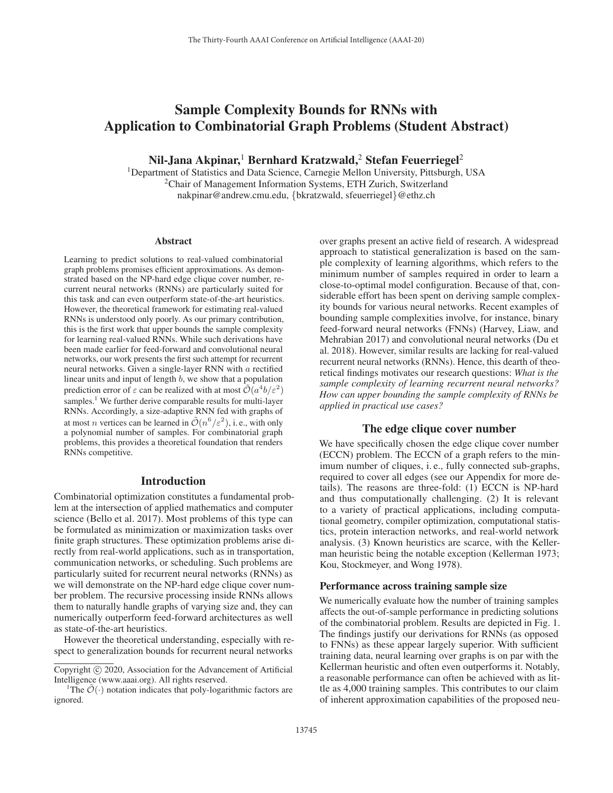# Sample Complexity Bounds for RNNs with Application to Combinatorial Graph Problems (Student Abstract)

Nil-Jana Akpinar,<sup>1</sup> Bernhard Kratzwald,<sup>2</sup> Stefan Feuerriegel<sup>2</sup>

<sup>1</sup>Department of Statistics and Data Science, Carnegie Mellon University, Pittsburgh, USA 2Chair of Management Information Systems, ETH Zurich, Switzerland nakpinar@andrew.cmu.edu, {bkratzwald, sfeuerriegel}@ethz.ch

#### Abstract

Learning to predict solutions to real-valued combinatorial graph problems promises efficient approximations. As demonstrated based on the NP-hard edge clique cover number, recurrent neural networks (RNNs) are particularly suited for this task and can even outperform state-of-the-art heuristics. However, the theoretical framework for estimating real-valued RNNs is understood only poorly. As our primary contribution, this is the first work that upper bounds the sample complexity for learning real-valued RNNs. While such derivations have been made earlier for feed-forward and convolutional neural networks, our work presents the first such attempt for recurrent neural networks. Given a single-layer RNN with a rectified linear units and input of length b, we show that a population prediction error of  $\varepsilon$  can be realized with at most  $\mathcal{O}(a^4b/\varepsilon^2)$ samples.<sup>1</sup> We further derive comparable results for multi-layer RNNs. Accordingly, a size-adaptive RNN fed with graphs of at most *n* vertices can be learned in  $\tilde{\mathcal{O}}(n^6/\varepsilon^2)$ , i. e., with only a polynomial number of samples. For combinatorial graph problems, this provides a theoretical foundation that renders RNNs competitive.

## Introduction

Combinatorial optimization constitutes a fundamental problem at the intersection of applied mathematics and computer science (Bello et al. 2017). Most problems of this type can be formulated as minimization or maximization tasks over finite graph structures. These optimization problems arise directly from real-world applications, such as in transportation, communication networks, or scheduling. Such problems are particularly suited for recurrent neural networks (RNNs) as we will demonstrate on the NP-hard edge clique cover number problem. The recursive processing inside RNNs allows them to naturally handle graphs of varying size and, they can numerically outperform feed-forward architectures as well as state-of-the-art heuristics.

However the theoretical understanding, especially with respect to generalization bounds for recurrent neural networks over graphs present an active field of research. A widespread approach to statistical generalization is based on the sample complexity of learning algorithms, which refers to the minimum number of samples required in order to learn a close-to-optimal model configuration. Because of that, considerable effort has been spent on deriving sample complexity bounds for various neural networks. Recent examples of bounding sample complexities involve, for instance, binary feed-forward neural networks (FNNs) (Harvey, Liaw, and Mehrabian 2017) and convolutional neural networks (Du et al. 2018). However, similar results are lacking for real-valued recurrent neural networks (RNNs). Hence, this dearth of theoretical findings motivates our research questions: *What is the sample complexity of learning recurrent neural networks? How can upper bounding the sample complexity of RNNs be applied in practical use cases?*

## The edge clique cover number

We have specifically chosen the edge clique cover number (ECCN) problem. The ECCN of a graph refers to the minimum number of cliques, i. e., fully connected sub-graphs, required to cover all edges (see our Appendix for more details). The reasons are three-fold: (1) ECCN is NP-hard and thus computationally challenging. (2) It is relevant to a variety of practical applications, including computational geometry, compiler optimization, computational statistics, protein interaction networks, and real-world network analysis. (3) Known heuristics are scarce, with the Kellerman heuristic being the notable exception (Kellerman 1973; Kou, Stockmeyer, and Wong 1978).

### Performance across training sample size

We numerically evaluate how the number of training samples affects the out-of-sample performance in predicting solutions of the combinatorial problem. Results are depicted in Fig. 1. The findings justify our derivations for RNNs (as opposed to FNNs) as these appear largely superior. With sufficient training data, neural learning over graphs is on par with the Kellerman heuristic and often even outperforms it. Notably, a reasonable performance can often be achieved with as little as 4,000 training samples. This contributes to our claim of inherent approximation capabilities of the proposed neu-

Copyright  $\odot$  2020, Association for the Advancement of Artificial Intelligence (www.aaai.org). All rights reserved.

<sup>&</sup>lt;sup>1</sup>The  $\mathcal{O}(\cdot)$  notation indicates that poly-logarithmic factors are ignored.